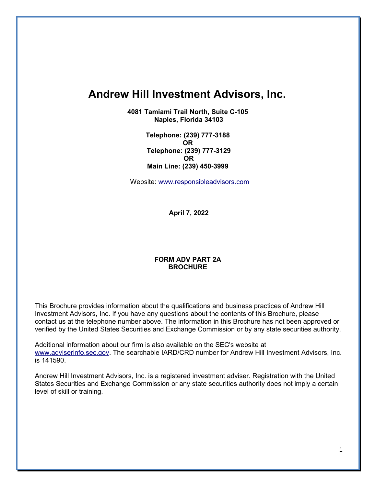# **Andrew Hill Investment Advisors, Inc.**

**4081 Tamiami Trail North, Suite C-105 Naples, Florida 34103** 

> **Telephone: (239) 777-3188 OR Telephone: (239) 777-3129 OR Main Line: (239) 450-3999**

Website: www.responsibleadvisors.com

**April 7, 2022**

### **FORM ADV PART 2A BROCHURE**

This Brochure provides information about the qualifications and business practices of Andrew Hill Investment Advisors, Inc. If you have any questions about the contents of this Brochure, please contact us at the telephone number above. The information in this Brochure has not been approved or verified by the United States Securities and Exchange Commission or by any state securities authority.

Additional information about our firm is also available on the SEC's website at www.adviserinfo.sec.gov. The searchable IARD/CRD number for Andrew Hill Investment Advisors, Inc. is 141590.

Andrew Hill Investment Advisors, Inc. is a registered investment adviser. Registration with the United States Securities and Exchange Commission or any state securities authority does not imply a certain level of skill or training.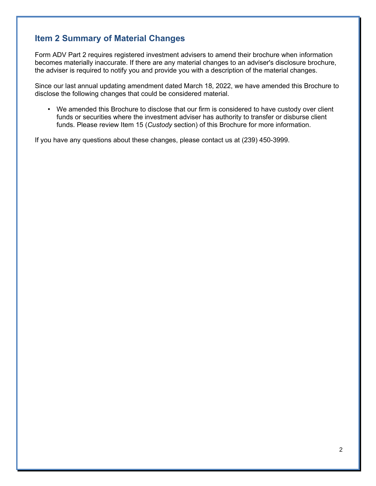# **Item 2 Summary of Material Changes**

Form ADV Part 2 requires registered investment advisers to amend their brochure when information becomes materially inaccurate. If there are any material changes to an adviser's disclosure brochure, the adviser is required to notify you and provide you with a description of the material changes.

Since our last annual updating amendment dated March 18, 2022, we have amended this Brochure to disclose the following changes that could be considered material.

• We amended this Brochure to disclose that our firm is considered to have custody over client funds or securities where the investment adviser has authority to transfer or disburse client funds. Please review Item 15 (*Custody* section) of this Brochure for more information.

If you have any questions about these changes, please contact us at (239) 450-3999.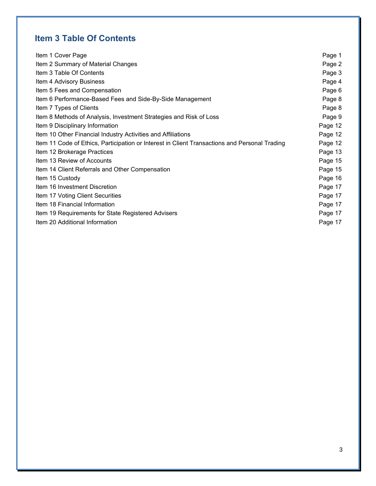# **Item 3 Table Of Contents**

| Item 1 Cover Page                                                                             | Page 1  |
|-----------------------------------------------------------------------------------------------|---------|
| Item 2 Summary of Material Changes                                                            | Page 2  |
| Item 3 Table Of Contents                                                                      | Page 3  |
| Item 4 Advisory Business                                                                      | Page 4  |
| Item 5 Fees and Compensation                                                                  | Page 6  |
| Item 6 Performance-Based Fees and Side-By-Side Management                                     | Page 8  |
| Item 7 Types of Clients                                                                       | Page 8  |
| Item 8 Methods of Analysis, Investment Strategies and Risk of Loss                            | Page 9  |
| Item 9 Disciplinary Information                                                               | Page 12 |
| Item 10 Other Financial Industry Activities and Affiliations                                  | Page 12 |
| Item 11 Code of Ethics, Participation or Interest in Client Transactions and Personal Trading | Page 12 |
| Item 12 Brokerage Practices                                                                   | Page 13 |
| Item 13 Review of Accounts                                                                    | Page 15 |
| Item 14 Client Referrals and Other Compensation                                               | Page 15 |
| Item 15 Custody                                                                               | Page 16 |
| Item 16 Investment Discretion                                                                 | Page 17 |
| Item 17 Voting Client Securities                                                              | Page 17 |
| Item 18 Financial Information                                                                 | Page 17 |
| Item 19 Requirements for State Registered Advisers                                            | Page 17 |
| Item 20 Additional Information                                                                | Page 17 |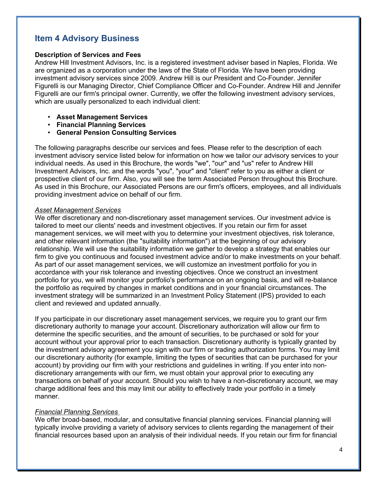# **Item 4 Advisory Business**

### **Description of Services and Fees**

Andrew Hill Investment Advisors, Inc. is a registered investment adviser based in Naples, Florida. We are organized as a corporation under the laws of the State of Florida. We have been providing investment advisory services since 2009. Andrew Hill is our President and Co-Founder. Jennifer Figurelli is our Managing Director, Chief Compliance Officer and Co-Founder. Andrew Hill and Jennifer Figurelli are our firm's principal owner. Currently, we offer the following investment advisory services, which are usually personalized to each individual client:

- **Asset Management Services**
- **Financial Planning Services**
- **General Pension Consulting Services**

The following paragraphs describe our services and fees. Please refer to the description of each investment advisory service listed below for information on how we tailor our advisory services to your individual needs. As used in this Brochure, the words "we", "our" and "us" refer to Andrew Hill Investment Advisors, Inc. and the words "you", "your" and "client" refer to you as either a client or prospective client of our firm. Also, you will see the term Associated Person throughout this Brochure. As used in this Brochure, our Associated Persons are our firm's officers, employees, and all individuals providing investment advice on behalf of our firm.

#### *Asset Management Services*

We offer discretionary and non-discretionary asset management services. Our investment advice is tailored to meet our clients' needs and investment objectives. If you retain our firm for asset management services, we will meet with you to determine your investment objectives, risk tolerance, and other relevant information (the "suitability information") at the beginning of our advisory relationship. We will use the suitability information we gather to develop a strategy that enables our firm to give you continuous and focused investment advice and/or to make investments on your behalf. As part of our asset management services, we will customize an investment portfolio for you in accordance with your risk tolerance and investing objectives. Once we construct an investment portfolio for you, we will monitor your portfolio's performance on an ongoing basis, and will re-balance the portfolio as required by changes in market conditions and in your financial circumstances. The investment strategy will be summarized in an Investment Policy Statement (IPS) provided to each client and reviewed and updated annually.

If you participate in our discretionary asset management services, we require you to grant our firm discretionary authority to manage your account. Discretionary authorization will allow our firm to determine the specific securities, and the amount of securities, to be purchased or sold for your account without your approval prior to each transaction. Discretionary authority is typically granted by the investment advisory agreement you sign with our firm or trading authorization forms. You may limit our discretionary authority (for example, limiting the types of securities that can be purchased for your account) by providing our firm with your restrictions and guidelines in writing. If you enter into nondiscretionary arrangements with our firm, we must obtain your approval prior to executing any transactions on behalf of your account. Should you wish to have a non-discretionary account, we may charge additional fees and this may limit our ability to effectively trade your portfolio in a timely manner.

### *Financial Planning Services*

We offer broad-based, modular, and consultative financial planning services. Financial planning will typically involve providing a variety of advisory services to clients regarding the management of their financial resources based upon an analysis of their individual needs. If you retain our firm for financial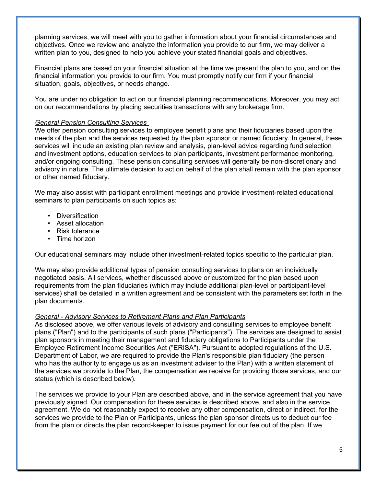planning services, we will meet with you to gather information about your financial circumstances and objectives. Once we review and analyze the information you provide to our firm, we may deliver a written plan to you, designed to help you achieve your stated financial goals and objectives.

Financial plans are based on your financial situation at the time we present the plan to you, and on the financial information you provide to our firm. You must promptly notify our firm if your financial situation, goals, objectives, or needs change.

You are under no obligation to act on our financial planning recommendations. Moreover, you may act on our recommendations by placing securities transactions with any brokerage firm.

### *General Pension Consulting Services*

We offer pension consulting services to employee benefit plans and their fiduciaries based upon the needs of the plan and the services requested by the plan sponsor or named fiduciary. In general, these services will include an existing plan review and analysis, plan-level advice regarding fund selection and investment options, education services to plan participants, investment performance monitoring, and/or ongoing consulting. These pension consulting services will generally be non-discretionary and advisory in nature. The ultimate decision to act on behalf of the plan shall remain with the plan sponsor or other named fiduciary.

We may also assist with participant enrollment meetings and provide investment-related educational seminars to plan participants on such topics as:

- Diversification
- Asset allocation
- Risk tolerance
- Time horizon

Our educational seminars may include other investment-related topics specific to the particular plan.

We may also provide additional types of pension consulting services to plans on an individually negotiated basis. All services, whether discussed above or customized for the plan based upon requirements from the plan fiduciaries (which may include additional plan-level or participant-level services) shall be detailed in a written agreement and be consistent with the parameters set forth in the plan documents.

## *General - Advisory Services to Retirement Plans and Plan Participants*

As disclosed above, we offer various levels of advisory and consulting services to employee benefit plans ("Plan") and to the participants of such plans ("Participants"). The services are designed to assist plan sponsors in meeting their management and fiduciary obligations to Participants under the Employee Retirement Income Securities Act ("ERISA"). Pursuant to adopted regulations of the U.S. Department of Labor, we are required to provide the Plan's responsible plan fiduciary (the person who has the authority to engage us as an investment adviser to the Plan) with a written statement of the services we provide to the Plan, the compensation we receive for providing those services, and our status (which is described below).

The services we provide to your Plan are described above, and in the service agreement that you have previously signed. Our compensation for these services is described above, and also in the service agreement. We do not reasonably expect to receive any other compensation, direct or indirect, for the services we provide to the Plan or Participants, unless the plan sponsor directs us to deduct our fee from the plan or directs the plan record-keeper to issue payment for our fee out of the plan. If we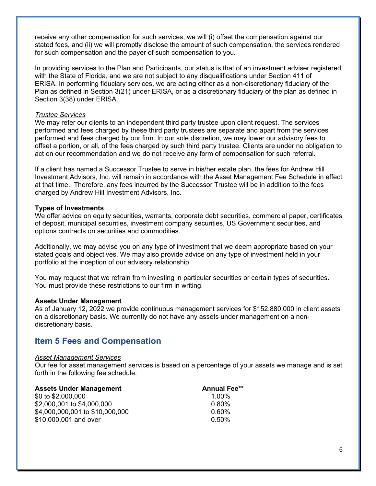receive any other compensation for such services, we will (i) offset the compensation against our stated fees, and (ii) we will promptly disclose the amount of such compensation, the services rendered for such compensation and the payer of such compensation to you.

In providing services to the Plan and Participants, our status is that of an investment adviser registered with the State of Florida, and we are not subject to any disqualifications under Section 411 of ERISA. In performing fiduciary services, we are acting either as a non-discretionary fiduciary of the Plan as defined in Section 3(21) under ERISA, or as a discretionary fiduciary of the plan as defined in Section 3(38) under ERISA.

### *Trustee Services*

We may refer our clients to an independent third party trustee upon client request. The services performed and fees charged by these third party trustees are separate and apart from the services performed and fees charged by our firm. In our sole discretion, we may lower our advisory fees to offset a portion, or all, of the fees charged by such third party trustee. Clients are under no obligation to act on our recommendation and we do not receive any form of compensation for such referral.

If a client has named a Successor Trustee to serve in his/her estate plan, the fees for Andrew Hill Investment Advisors, Inc. will remain in accordance with the Asset Management Fee Schedule in effect at that time. Therefore, any fees incurred by the Successor Trustee will be in addition to the fees charged by Andrew Hill Investment Advisors, Inc.

### **Types of Investments**

We offer advice on equity securities, warrants, corporate debt securities, commercial paper, certificates of deposit, municipal securities, investment company securities, US Government securities, and options contracts on securities and commodities.

Additionally, we may advise you on any type of investment that we deem appropriate based on your stated goals and objectives. We may also provide advice on any type of investment held in your portfolio at the inception of our advisory relationship.

You may request that we refrain from investing in particular securities or certain types of securities. You must provide these restrictions to our firm in writing.

### **Assets Under Management**

As of January 12, 2022 we provide continuous management services for \$152,880,000 in client assets on a discretionary basis. We currently do not have any assets under management on a nondiscretionary basis.

# **Item 5 Fees and Compensation**

### *Asset Management Services*

Our fee for asset management services is based on a percentage of your assets we manage and is set forth in the following fee schedule:

| <b>Assets Under Management</b>  | <b>Annual Fee**</b> |
|---------------------------------|---------------------|
| \$0 to \$2,000,000              | $1.00\%$            |
| \$2,000,001 to \$4,000,000      | $0.80\%$            |
| \$4,000,000,001 to \$10,000,000 | 0.60%               |
| \$10,000,001 and over           | $0.50\%$            |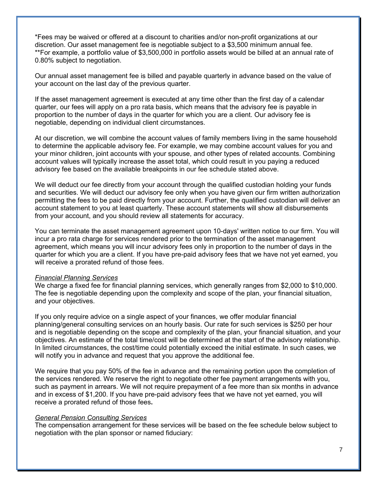\*Fees may be waived or offered at a discount to charities and/or non-profit organizations at our discretion. Our asset management fee is negotiable subject to a \$3,500 minimum annual fee. \*\*For example, a portfolio value of \$3,500,000 in portfolio assets would be billed at an annual rate of 0.80% subject to negotiation.

Our annual asset management fee is billed and payable quarterly in advance based on the value of your account on the last day of the previous quarter.

If the asset management agreement is executed at any time other than the first day of a calendar quarter, our fees will apply on a pro rata basis, which means that the advisory fee is payable in proportion to the number of days in the quarter for which you are a client. Our advisory fee is negotiable, depending on individual client circumstances.

At our discretion, we will combine the account values of family members living in the same household to determine the applicable advisory fee. For example, we may combine account values for you and your minor children, joint accounts with your spouse, and other types of related accounts. Combining account values will typically increase the asset total, which could result in you paying a reduced advisory fee based on the available breakpoints in our fee schedule stated above.

We will deduct our fee directly from your account through the qualified custodian holding your funds and securities. We will deduct our advisory fee only when you have given our firm written authorization permitting the fees to be paid directly from your account. Further, the qualified custodian will deliver an account statement to you at least quarterly. These account statements will show all disbursements from your account, and you should review all statements for accuracy.

You can terminate the asset management agreement upon 10-days' written notice to our firm. You will incur a pro rata charge for services rendered prior to the termination of the asset management agreement, which means you will incur advisory fees only in proportion to the number of days in the quarter for which you are a client. If you have pre-paid advisory fees that we have not yet earned, you will receive a prorated refund of those fees.

#### *Financial Planning Services*

We charge a fixed fee for financial planning services, which generally ranges from \$2,000 to \$10,000. The fee is negotiable depending upon the complexity and scope of the plan, your financial situation, and your objectives.

If you only require advice on a single aspect of your finances, we offer modular financial planning/general consulting services on an hourly basis. Our rate for such services is \$250 per hour and is negotiable depending on the scope and complexity of the plan, your financial situation, and your objectives. An estimate of the total time/cost will be determined at the start of the advisory relationship. In limited circumstances, the cost/time could potentially exceed the initial estimate. In such cases, we will notify you in advance and request that you approve the additional fee.

We require that you pay 50% of the fee in advance and the remaining portion upon the completion of the services rendered. We reserve the right to negotiate other fee payment arrangements with you, such as payment in arrears. We will not require prepayment of a fee more than six months in advance and in excess of \$1,200. If you have pre-paid advisory fees that we have not yet earned, you will receive a prorated refund of those fees**.**

#### *General Pension Consulting Services*

The compensation arrangement for these services will be based on the fee schedule below subject to negotiation with the plan sponsor or named fiduciary: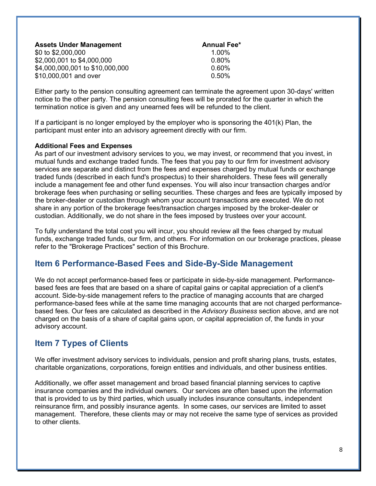| <b>Assets Under Management</b>  | <b>Annual Fee*</b> |
|---------------------------------|--------------------|
| \$0 to \$2,000,000              | $1.00\%$           |
| \$2,000,001 to \$4,000,000      | $0.80\%$           |
| \$4,000,000,001 to \$10,000,000 | 0.60%              |
| \$10,000,001 and over           | $0.50\%$           |

Either party to the pension consulting agreement can terminate the agreement upon 30-days' written notice to the other party. The pension consulting fees will be prorated for the quarter in which the termination notice is given and any unearned fees will be refunded to the client.

If a participant is no longer employed by the employer who is sponsoring the 401(k) Plan, the participant must enter into an advisory agreement directly with our firm.

### **Additional Fees and Expenses**

As part of our investment advisory services to you, we may invest, or recommend that you invest, in mutual funds and exchange traded funds. The fees that you pay to our firm for investment advisory services are separate and distinct from the fees and expenses charged by mutual funds or exchange traded funds (described in each fund's prospectus) to their shareholders. These fees will generally include a management fee and other fund expenses. You will also incur transaction charges and/or brokerage fees when purchasing or selling securities. These charges and fees are typically imposed by the broker-dealer or custodian through whom your account transactions are executed. We do not share in any portion of the brokerage fees/transaction charges imposed by the broker-dealer or custodian. Additionally, we do not share in the fees imposed by trustees over your account.

To fully understand the total cost you will incur, you should review all the fees charged by mutual funds, exchange traded funds, our firm, and others. For information on our brokerage practices, please refer to the "Brokerage Practices" section of this Brochure.

# **Item 6 Performance-Based Fees and Side-By-Side Management**

We do not accept performance-based fees or participate in side-by-side management. Performancebased fees are fees that are based on a share of capital gains or capital appreciation of a client's account. Side-by-side management refers to the practice of managing accounts that are charged performance-based fees while at the same time managing accounts that are not charged performancebased fees. Our fees are calculated as described in the *Advisory Business* section above, and are not charged on the basis of a share of capital gains upon, or capital appreciation of, the funds in your advisory account.

# **Item 7 Types of Clients**

We offer investment advisory services to individuals, pension and profit sharing plans, trusts, estates, charitable organizations, corporations, foreign entities and individuals, and other business entities.

Additionally, we offer asset management and broad based financial planning services to captive insurance companies and the individual owners. Our services are often based upon the information that is provided to us by third parties, which usually includes insurance consultants, independent reinsurance firm, and possibly insurance agents. In some cases, our services are limited to asset management. Therefore, these clients may or may not receive the same type of services as provided to other clients.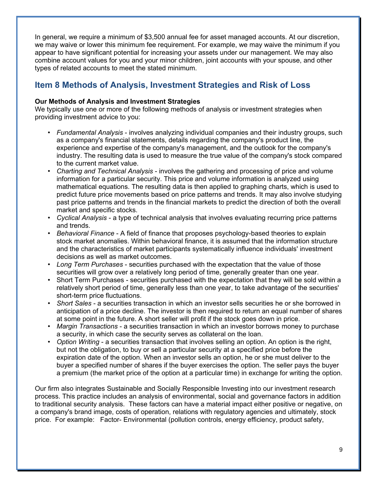In general, we require a minimum of \$3,500 annual fee for asset managed accounts. At our discretion, we may waive or lower this minimum fee requirement. For example, we may waive the minimum if you appear to have significant potential for increasing your assets under our management. We may also combine account values for you and your minor children, joint accounts with your spouse, and other types of related accounts to meet the stated minimum.

# **Item 8 Methods of Analysis, Investment Strategies and Risk of Loss**

## **Our Methods of Analysis and Investment Strategies**

We typically use one or more of the following methods of analysis or investment strategies when providing investment advice to you:

- *Fundamental Analysis* involves analyzing individual companies and their industry groups, such as a company's financial statements, details regarding the company's product line, the experience and expertise of the company's management, and the outlook for the company's industry. The resulting data is used to measure the true value of the company's stock compared to the current market value.
- *Charting and Technical Analysis* involves the gathering and processing of price and volume information for a particular security. This price and volume information is analyzed using mathematical equations. The resulting data is then applied to graphing charts, which is used to predict future price movements based on price patterns and trends. It may also involve studying past price patterns and trends in the financial markets to predict the direction of both the overall market and specific stocks.
- *Cyclical Analysis* a type of technical analysis that involves evaluating recurring price patterns and trends.
- *Behavioral Finance* A field of finance that proposes psychology-based theories to explain stock market anomalies. Within behavioral finance, it is assumed that the information structure and the characteristics of market participants systematically influence individuals' investment decisions as well as market outcomes.
- *Long Term Purchases* securities purchased with the expectation that the value of those securities will grow over a relatively long period of time, generally greater than one year.
- Short Term Purchases securities purchased with the expectation that they will be sold within a relatively short period of time, generally less than one year, to take advantage of the securities' short-term price fluctuations.
- *Short Sales* a securities transaction in which an investor sells securities he or she borrowed in anticipation of a price decline. The investor is then required to return an equal number of shares at some point in the future. A short seller will profit if the stock goes down in price.
- *Margin Transactions* a securities transaction in which an investor borrows money to purchase a security, in which case the security serves as collateral on the loan.
- *Option Writing* a securities transaction that involves selling an option. An option is the right, but not the obligation, to buy or sell a particular security at a specified price before the expiration date of the option. When an investor sells an option, he or she must deliver to the buyer a specified number of shares if the buyer exercises the option. The seller pays the buyer a premium (the market price of the option at a particular time) in exchange for writing the option.

Our firm also integrates Sustainable and Socially Responsible Investing into our investment research process. This practice includes an analysis of environmental, social and governance factors in addition to traditional security analysis. These factors can have a material impact either positive or negative, on a company's brand image, costs of operation, relations with regulatory agencies and ultimately, stock price. For example: Factor- Environmental (pollution controls, energy efficiency, product safety,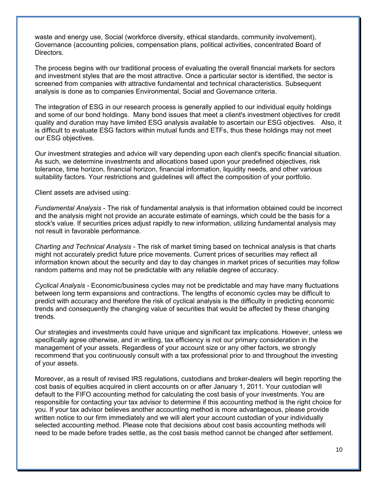waste and energy use, Social (workforce diversity, ethical standards, community involvement), Governance (accounting policies, compensation plans, political activities, concentrated Board of Directors.

The process begins with our traditional process of evaluating the overall financial markets for sectors and investment styles that are the most attractive. Once a particular sector is identified, the sector is screened from companies with attractive fundamental and technical characteristics. Subsequent analysis is done as to companies Environmental, Social and Governance criteria.

The integration of ESG in our research process is generally applied to our individual equity holdings and some of our bond holdings. Many bond issues that meet a client's investment objectives for credit quality and duration may have limited ESG analysis available to ascertain our ESG objectives. Also, it is difficult to evaluate ESG factors within mutual funds and ETFs, thus these holdings may not meet our ESG objectives.

Our investment strategies and advice will vary depending upon each client's specific financial situation. As such, we determine investments and allocations based upon your predefined objectives, risk tolerance, time horizon, financial horizon, financial information, liquidity needs, and other various suitability factors. Your restrictions and guidelines will affect the composition of your portfolio.

Client assets are advised using:

*Fundamental Analysis* - The risk of fundamental analysis is that information obtained could be incorrect and the analysis might not provide an accurate estimate of earnings, which could be the basis for a stock's value. If securities prices adjust rapidly to new information, utilizing fundamental analysis may not result in favorable performance.

*Charting and Technical Analysis* - The risk of market timing based on technical analysis is that charts might not accurately predict future price movements. Current prices of securities may reflect all information known about the security and day to day changes in market prices of securities may follow random patterns and may not be predictable with any reliable degree of accuracy.

*Cyclical Analysis* - Economic/business cycles may not be predictable and may have many fluctuations between long term expansions and contractions. The lengths of economic cycles may be difficult to predict with accuracy and therefore the risk of cyclical analysis is the difficulty in predicting economic trends and consequently the changing value of securities that would be affected by these changing trends.

Our strategies and investments could have unique and significant tax implications. However, unless we specifically agree otherwise, and in writing, tax efficiency is not our primary consideration in the management of your assets. Regardless of your account size or any other factors, we strongly recommend that you continuously consult with a tax professional prior to and throughout the investing of your assets.

Moreover, as a result of revised IRS regulations, custodians and broker-dealers will begin reporting the cost basis of equities acquired in client accounts on or after January 1, 2011. Your custodian will default to the FIFO accounting method for calculating the cost basis of your investments. You are responsible for contacting your tax advisor to determine if this accounting method is the right choice for you. If your tax advisor believes another accounting method is more advantageous, please provide written notice to our firm immediately and we will alert your account custodian of your individually selected accounting method. Please note that decisions about cost basis accounting methods will need to be made before trades settle, as the cost basis method cannot be changed after settlement.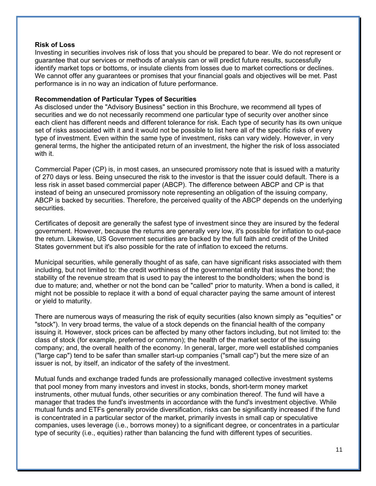### **Risk of Loss**

Investing in securities involves risk of loss that you should be prepared to bear. We do not represent or guarantee that our services or methods of analysis can or will predict future results, successfully identify market tops or bottoms, or insulate clients from losses due to market corrections or declines. We cannot offer any guarantees or promises that your financial goals and objectives will be met. Past performance is in no way an indication of future performance.

### **Recommendation of Particular Types of Securities**

As disclosed under the "Advisory Business" section in this Brochure, we recommend all types of securities and we do not necessarily recommend one particular type of security over another since each client has different needs and different tolerance for risk. Each type of security has its own unique set of risks associated with it and it would not be possible to list here all of the specific risks of every type of investment. Even within the same type of investment, risks can vary widely. However, in very general terms, the higher the anticipated return of an investment, the higher the risk of loss associated with it.

Commercial Paper (CP) is, in most cases, an unsecured promissory note that is issued with a maturity of 270 days or less. Being unsecured the risk to the investor is that the issuer could default. There is a less risk in asset based commercial paper (ABCP). The difference between ABCP and CP is that instead of being an unsecured promissory note representing an obligation of the issuing company, ABCP is backed by securities. Therefore, the perceived quality of the ABCP depends on the underlying securities.

Certificates of deposit are generally the safest type of investment since they are insured by the federal government. However, because the returns are generally very low, it's possible for inflation to out-pace the return. Likewise, US Government securities are backed by the full faith and credit of the United States government but it's also possible for the rate of inflation to exceed the returns.

Municipal securities, while generally thought of as safe, can have significant risks associated with them including, but not limited to: the credit worthiness of the governmental entity that issues the bond; the stability of the revenue stream that is used to pay the interest to the bondholders; when the bond is due to mature; and, whether or not the bond can be "called" prior to maturity. When a bond is called, it might not be possible to replace it with a bond of equal character paying the same amount of interest or yield to maturity.

There are numerous ways of measuring the risk of equity securities (also known simply as "equities" or "stock"). In very broad terms, the value of a stock depends on the financial health of the company issuing it. However, stock prices can be affected by many other factors including, but not limited to: the class of stock (for example, preferred or common); the health of the market sector of the issuing company; and, the overall health of the economy. In general, larger, more well established companies ("large cap") tend to be safer than smaller start-up companies ("small cap") but the mere size of an issuer is not, by itself, an indicator of the safety of the investment.

Mutual funds and exchange traded funds are professionally managed collective investment systems that pool money from many investors and invest in stocks, bonds, short-term money market instruments, other mutual funds, other securities or any combination thereof. The fund will have a manager that trades the fund's investments in accordance with the fund's investment objective. While mutual funds and ETFs generally provide diversification, risks can be significantly increased if the fund is concentrated in a particular sector of the market, primarily invests in small cap or speculative companies, uses leverage (i.e., borrows money) to a significant degree, or concentrates in a particular type of security (i.e., equities) rather than balancing the fund with different types of securities.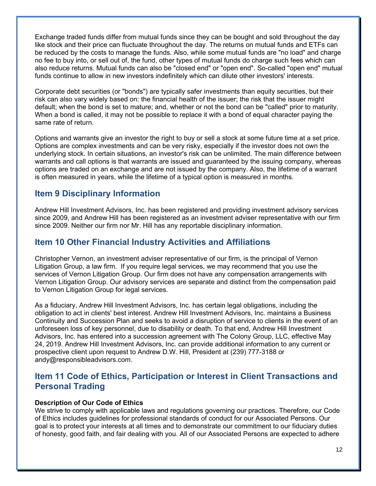Exchange traded funds differ from mutual funds since they can be bought and sold throughout the day like stock and their price can fluctuate throughout the day. The returns on mutual funds and ETFs can be reduced by the costs to manage the funds. Also, while some mutual funds are "no load" and charge no fee to buy into, or sell out of, the fund, other types of mutual funds do charge such fees which can also reduce returns. Mutual funds can also be "closed end" or "open end". So-called "open end" mutual funds continue to allow in new investors indefinitely which can dilute other investors' interests.

Corporate debt securities (or "bonds") are typically safer investments than equity securities, but their risk can also vary widely based on: the financial health of the issuer; the risk that the issuer might default; when the bond is set to mature; and, whether or not the bond can be "called" prior to maturity. When a bond is called, it may not be possible to replace it with a bond of equal character paying the same rate of return.

Options and warrants give an investor the right to buy or sell a stock at some future time at a set price. Options are complex investments and can be very risky, especially if the investor does not own the underlying stock. In certain situations, an investor's risk can be unlimited. The main difference between warrants and call options is that warrants are issued and guaranteed by the issuing company, whereas options are traded on an exchange and are not issued by the company. Also, the lifetime of a warrant is often measured in years, while the lifetime of a typical option is measured in months.

# **Item 9 Disciplinary Information**

Andrew Hill Investment Advisors, Inc. has been registered and providing investment advisory services since 2009, and Andrew Hill has been registered as an investment adviser representative with our firm since 2009. Neither our firm nor Mr. Hill has any reportable disciplinary information.

# **Item 10 Other Financial Industry Activities and Affiliations**

Christopher Vernon, an investment adviser representative of our firm, is the principal of Vernon Litigation Group, a law firm. If you require legal services, we may recommend that you use the services of Vernon Litigation Group. Our firm does not have any compensation arrangements with Vernon Litigation Group. Our advisory services are separate and distinct from the compensation paid to Vernon Litigation Group for legal services.

As a fiduciary, Andrew Hill Investment Advisors, Inc. has certain legal obligations, including the obligation to act in clients' best interest. Andrew Hill Investment Advisors, Inc. maintains a Business Continuity and Succession Plan and seeks to avoid a disruption of service to clients in the event of an unforeseen loss of key personnel, due to disability or death. To that end, Andrew Hill Investment Advisors, Inc. has entered into a succession agreement with The Colony Group, LLC, effective May 24, 2019. Andrew Hill Investment Advisors, Inc. can provide additional information to any current or prospective client upon request to Andrew D.W. Hill, President at (239) 777-3188 or andy@responsibleadvisors.com.

# **Item 11 Code of Ethics, Participation or Interest in Client Transactions and Personal Trading**

## **Description of Our Code of Ethics**

We strive to comply with applicable laws and regulations governing our practices. Therefore, our Code of Ethics includes guidelines for professional standards of conduct for our Associated Persons. Our goal is to protect your interests at all times and to demonstrate our commitment to our fiduciary duties of honesty, good faith, and fair dealing with you. All of our Associated Persons are expected to adhere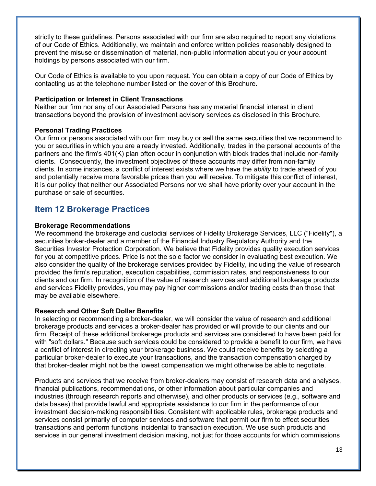strictly to these guidelines. Persons associated with our firm are also required to report any violations of our Code of Ethics. Additionally, we maintain and enforce written policies reasonably designed to prevent the misuse or dissemination of material, non-public information about you or your account holdings by persons associated with our firm.

Our Code of Ethics is available to you upon request. You can obtain a copy of our Code of Ethics by contacting us at the telephone number listed on the cover of this Brochure.

#### **Participation or Interest in Client Transactions**

Neither our firm nor any of our Associated Persons has any material financial interest in client transactions beyond the provision of investment advisory services as disclosed in this Brochure.

### **Personal Trading Practices**

Our firm or persons associated with our firm may buy or sell the same securities that we recommend to you or securities in which you are already invested. Additionally, trades in the personal accounts of the partners and the firm's 401(K) plan often occur in conjunction with block trades that include non-family clients. Consequently, the investment objectives of these accounts may differ from non-family clients. In some instances, a conflict of interest exists where we have the *ability* to trade ahead of you and potentially receive more favorable prices than you will receive. To mitigate this conflict of interest, it is our policy that neither our Associated Persons nor we shall have priority over your account in the purchase or sale of securities.

# **Item 12 Brokerage Practices**

#### **Brokerage Recommendations**

We recommend the brokerage and custodial services of Fidelity Brokerage Services, LLC ("Fidelity"), a securities broker-dealer and a member of the Financial Industry Regulatory Authority and the Securities Investor Protection Corporation. We believe that Fidelity provides quality execution services for you at competitive prices. Price is not the sole factor we consider in evaluating best execution. We also consider the quality of the brokerage services provided by Fidelity, including the value of research provided the firm's reputation, execution capabilities, commission rates, and responsiveness to our clients and our firm. In recognition of the value of research services and additional brokerage products and services Fidelity provides, you may pay higher commissions and/or trading costs than those that may be available elsewhere.

### **Research and Other Soft Dollar Benefits**

In selecting or recommending a broker-dealer, we will consider the value of research and additional brokerage products and services a broker-dealer has provided or will provide to our clients and our firm. Receipt of these additional brokerage products and services are considered to have been paid for with "soft dollars." Because such services could be considered to provide a benefit to our firm, we have a conflict of interest in directing your brokerage business. We could receive benefits by selecting a particular broker-dealer to execute your transactions, and the transaction compensation charged by that broker-dealer might not be the lowest compensation we might otherwise be able to negotiate.

Products and services that we receive from broker-dealers may consist of research data and analyses, financial publications, recommendations, or other information about particular companies and industries (through research reports and otherwise), and other products or services (e.g., software and data bases) that provide lawful and appropriate assistance to our firm in the performance of our investment decision-making responsibilities. Consistent with applicable rules, brokerage products and services consist primarily of computer services and software that permit our firm to effect securities transactions and perform functions incidental to transaction execution. We use such products and services in our general investment decision making, not just for those accounts for which commissions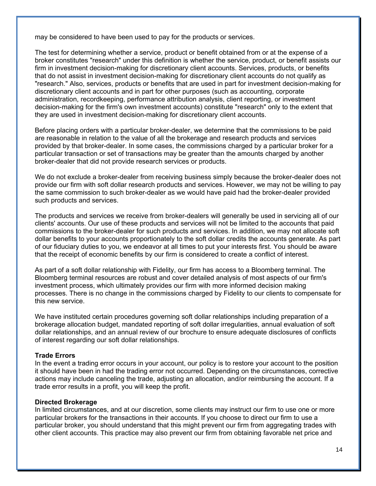may be considered to have been used to pay for the products or services.

The test for determining whether a service, product or benefit obtained from or at the expense of a broker constitutes "research" under this definition is whether the service, product, or benefit assists our firm in investment decision-making for discretionary client accounts. Services, products, or benefits that do not assist in investment decision-making for discretionary client accounts do not qualify as "research." Also, services, products or benefits that are used in part for investment decision-making for discretionary client accounts and in part for other purposes (such as accounting, corporate administration, recordkeeping, performance attribution analysis, client reporting, or investment decision-making for the firm's own investment accounts) constitute "research" only to the extent that they are used in investment decision-making for discretionary client accounts.

Before placing orders with a particular broker-dealer, we determine that the commissions to be paid are reasonable in relation to the value of all the brokerage and research products and services provided by that broker-dealer. In some cases, the commissions charged by a particular broker for a particular transaction or set of transactions may be greater than the amounts charged by another broker-dealer that did not provide research services or products.

We do not exclude a broker-dealer from receiving business simply because the broker-dealer does not provide our firm with soft dollar research products and services. However, we may not be willing to pay the same commission to such broker-dealer as we would have paid had the broker-dealer provided such products and services.

The products and services we receive from broker-dealers will generally be used in servicing all of our clients' accounts. Our use of these products and services will not be limited to the accounts that paid commissions to the broker-dealer for such products and services. In addition, we may not allocate soft dollar benefits to your accounts proportionately to the soft dollar credits the accounts generate. As part of our fiduciary duties to you, we endeavor at all times to put your interests first. You should be aware that the receipt of economic benefits by our firm is considered to create a conflict of interest.

As part of a soft dollar relationship with Fidelity, our firm has access to a Bloomberg terminal. The Bloomberg terminal resources are robust and cover detailed analysis of most aspects of our firm's investment process, which ultimately provides our firm with more informed decision making processes. There is no change in the commissions charged by Fidelity to our clients to compensate for this new service.

We have instituted certain procedures governing soft dollar relationships including preparation of a brokerage allocation budget, mandated reporting of soft dollar irregularities, annual evaluation of soft dollar relationships, and an annual review of our brochure to ensure adequate disclosures of conflicts of interest regarding our soft dollar relationships.

### **Trade Errors**

In the event a trading error occurs in your account, our policy is to restore your account to the position it should have been in had the trading error not occurred. Depending on the circumstances, corrective actions may include canceling the trade, adjusting an allocation, and/or reimbursing the account. If a trade error results in a profit, you will keep the profit.

### **Directed Brokerage**

In limited circumstances, and at our discretion, some clients may instruct our firm to use one or more particular brokers for the transactions in their accounts. If you choose to direct our firm to use a particular broker, you should understand that this might prevent our firm from aggregating trades with other client accounts. This practice may also prevent our firm from obtaining favorable net price and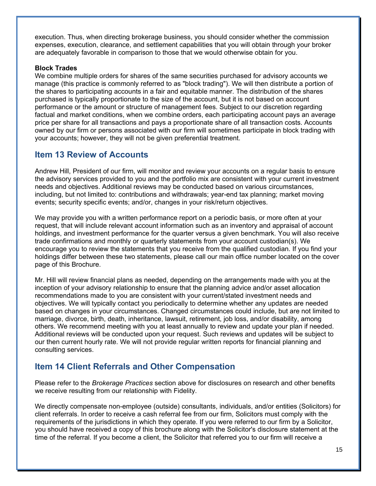execution. Thus, when directing brokerage business, you should consider whether the commission expenses, execution, clearance, and settlement capabilities that you will obtain through your broker are adequately favorable in comparison to those that we would otherwise obtain for you.

## **Block Trades**

We combine multiple orders for shares of the same securities purchased for advisory accounts we manage (this practice is commonly referred to as "block trading"). We will then distribute a portion of the shares to participating accounts in a fair and equitable manner. The distribution of the shares purchased is typically proportionate to the size of the account, but it is not based on account performance or the amount or structure of management fees. Subject to our discretion regarding factual and market conditions, when we combine orders, each participating account pays an average price per share for all transactions and pays a proportionate share of all transaction costs. Accounts owned by our firm or persons associated with our firm will sometimes participate in block trading with your accounts; however, they will not be given preferential treatment.

# **Item 13 Review of Accounts**

Andrew Hill, President of our firm, will monitor and review your accounts on a regular basis to ensure the advisory services provided to you and the portfolio mix are consistent with your current investment needs and objectives. Additional reviews may be conducted based on various circumstances, including, but not limited to: contributions and withdrawals; year-end tax planning; market moving events; security specific events; and/or, changes in your risk/return objectives.

We may provide you with a written performance report on a periodic basis, or more often at your request, that will include relevant account information such as an inventory and appraisal of account holdings, and investment performance for the quarter versus a given benchmark. You will also receive trade confirmations and monthly or quarterly statements from your account custodian(s). We encourage you to review the statements that you receive from the qualified custodian. If you find your holdings differ between these two statements, please call our main office number located on the cover page of this Brochure.

Mr. Hill will review financial plans as needed, depending on the arrangements made with you at the inception of your advisory relationship to ensure that the planning advice and/or asset allocation recommendations made to you are consistent with your current/stated investment needs and objectives. We will typically contact you periodically to determine whether any updates are needed based on changes in your circumstances. Changed circumstances could include, but are not limited to marriage, divorce, birth, death, inheritance, lawsuit, retirement, job loss, and/or disability, among others. We recommend meeting with you at least annually to review and update your plan if needed. Additional reviews will be conducted upon your request. Such reviews and updates will be subject to our then current hourly rate. We will not provide regular written reports for financial planning and consulting services.

# **Item 14 Client Referrals and Other Compensation**

Please refer to the *Brokerage Practices* section above for disclosures on research and other benefits we receive resulting from our relationship with Fidelity.

We directly compensate non-employee (outside) consultants, individuals, and/or entities (Solicitors) for client referrals. In order to receive a cash referral fee from our firm, Solicitors must comply with the requirements of the jurisdictions in which they operate. If you were referred to our firm by a Solicitor, you should have received a copy of this brochure along with the Solicitor's disclosure statement at the time of the referral. If you become a client, the Solicitor that referred you to our firm will receive a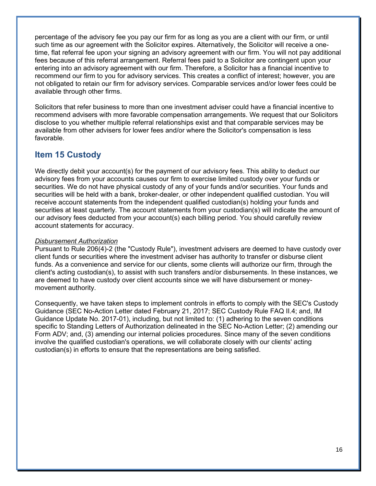percentage of the advisory fee you pay our firm for as long as you are a client with our firm, or until such time as our agreement with the Solicitor expires. Alternatively, the Solicitor will receive a onetime, flat referral fee upon your signing an advisory agreement with our firm. You will not pay additional fees because of this referral arrangement. Referral fees paid to a Solicitor are contingent upon your entering into an advisory agreement with our firm. Therefore, a Solicitor has a financial incentive to recommend our firm to you for advisory services. This creates a conflict of interest; however, you are not obligated to retain our firm for advisory services. Comparable services and/or lower fees could be available through other firms.

Solicitors that refer business to more than one investment adviser could have a financial incentive to recommend advisers with more favorable compensation arrangements. We request that our Solicitors disclose to you whether multiple referral relationships exist and that comparable services may be available from other advisers for lower fees and/or where the Solicitor's compensation is less favorable.

# **Item 15 Custody**

We directly debit your account(s) for the payment of our advisory fees. This ability to deduct our advisory fees from your accounts causes our firm to exercise limited custody over your funds or securities. We do not have physical custody of any of your funds and/or securities. Your funds and securities will be held with a bank, broker-dealer, or other independent qualified custodian. You will receive account statements from the independent qualified custodian(s) holding your funds and securities at least quarterly. The account statements from your custodian(s) will indicate the amount of our advisory fees deducted from your account(s) each billing period. You should carefully review account statements for accuracy.

### *Disbursement Authorization*

Pursuant to Rule 206(4)-2 (the "Custody Rule"), investment advisers are deemed to have custody over client funds or securities where the investment adviser has authority to transfer or disburse client funds. As a convenience and service for our clients, some clients will authorize our firm, through the client's acting custodian(s), to assist with such transfers and/or disbursements. In these instances, we are deemed to have custody over client accounts since we will have disbursement or moneymovement authority.

Consequently, we have taken steps to implement controls in efforts to comply with the SEC's Custody Guidance (SEC No-Action Letter dated February 21, 2017; SEC Custody Rule FAQ II.4; and, IM Guidance Update No. 2017-01), including, but not limited to: (1) adhering to the seven conditions specific to Standing Letters of Authorization delineated in the SEC No-Action Letter; (2) amending our Form ADV; and, (3) amending our internal policies procedures. Since many of the seven conditions involve the qualified custodian's operations, we will collaborate closely with our clients' acting custodian(s) in efforts to ensure that the representations are being satisfied.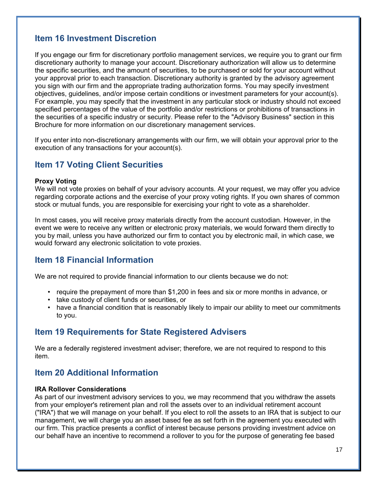# **Item 16 Investment Discretion**

If you engage our firm for discretionary portfolio management services, we require you to grant our firm discretionary authority to manage your account. Discretionary authorization will allow us to determine the specific securities, and the amount of securities, to be purchased or sold for your account without your approval prior to each transaction. Discretionary authority is granted by the advisory agreement you sign with our firm and the appropriate trading authorization forms. You may specify investment objectives, guidelines, and/or impose certain conditions or investment parameters for your account(s). For example, you may specify that the investment in any particular stock or industry should not exceed specified percentages of the value of the portfolio and/or restrictions or prohibitions of transactions in the securities of a specific industry or security. Please refer to the "Advisory Business" section in this Brochure for more information on our discretionary management services.

If you enter into non-discretionary arrangements with our firm, we will obtain your approval prior to the execution of any transactions for your account(s).

# **Item 17 Voting Client Securities**

### **Proxy Voting**

We will not vote proxies on behalf of your advisory accounts. At your request, we may offer you advice regarding corporate actions and the exercise of your proxy voting rights. If you own shares of common stock or mutual funds, you are responsible for exercising your right to vote as a shareholder.

In most cases, you will receive proxy materials directly from the account custodian. However, in the event we were to receive any written or electronic proxy materials, we would forward them directly to you by mail, unless you have authorized our firm to contact you by electronic mail, in which case, we would forward any electronic solicitation to vote proxies.

# **Item 18 Financial Information**

We are not required to provide financial information to our clients because we do not:

- require the prepayment of more than \$1,200 in fees and six or more months in advance, or
- take custody of client funds or securities, or
- have a financial condition that is reasonably likely to impair our ability to meet our commitments to you.

# **Item 19 Requirements for State Registered Advisers**

We are a federally registered investment adviser; therefore, we are not required to respond to this item.

# **Item 20 Additional Information**

### **IRA Rollover Considerations**

As part of our investment advisory services to you, we may recommend that you withdraw the assets from your employer's retirement plan and roll the assets over to an individual retirement account ("IRA") that we will manage on your behalf. If you elect to roll the assets to an IRA that is subject to our management, we will charge you an asset based fee as set forth in the agreement you executed with our firm. This practice presents a conflict of interest because persons providing investment advice on our behalf have an incentive to recommend a rollover to you for the purpose of generating fee based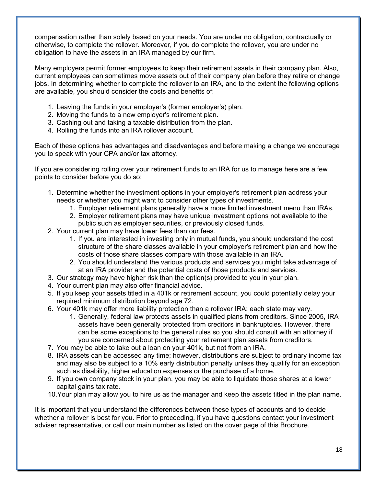compensation rather than solely based on your needs. You are under no obligation, contractually or otherwise, to complete the rollover. Moreover, if you do complete the rollover, you are under no obligation to have the assets in an IRA managed by our firm.

Many employers permit former employees to keep their retirement assets in their company plan. Also, current employees can sometimes move assets out of their company plan before they retire or change jobs. In determining whether to complete the rollover to an IRA, and to the extent the following options are available, you should consider the costs and benefits of:

- 1. Leaving the funds in your employer's (former employer's) plan.
- 2. Moving the funds to a new employer's retirement plan.
- 3. Cashing out and taking a taxable distribution from the plan.
- 4. Rolling the funds into an IRA rollover account.

Each of these options has advantages and disadvantages and before making a change we encourage you to speak with your CPA and/or tax attorney.

If you are considering rolling over your retirement funds to an IRA for us to manage here are a few points to consider before you do so:

- 1. Determine whether the investment options in your employer's retirement plan address your needs or whether you might want to consider other types of investments.
	- 1. Employer retirement plans generally have a more limited investment menu than IRAs.
	- 2. Employer retirement plans may have unique investment options not available to the public such as employer securities, or previously closed funds.
- 2. Your current plan may have lower fees than our fees.
	- 1. If you are interested in investing only in mutual funds, you should understand the cost structure of the share classes available in your employer's retirement plan and how the costs of those share classes compare with those available in an IRA.
	- 2. You should understand the various products and services you might take advantage of at an IRA provider and the potential costs of those products and services.
- 3. Our strategy may have higher risk than the option(s) provided to you in your plan.
- 4. Your current plan may also offer financial advice.
- 5. If you keep your assets titled in a 401k or retirement account, you could potentially delay your required minimum distribution beyond age 72.
- 6. Your 401k may offer more liability protection than a rollover IRA; each state may vary.
	- 1. Generally, federal law protects assets in qualified plans from creditors. Since 2005, IRA assets have been generally protected from creditors in bankruptcies. However, there can be some exceptions to the general rules so you should consult with an attorney if you are concerned about protecting your retirement plan assets from creditors.
- 7. You may be able to take out a loan on your 401k, but not from an IRA.
- 8. IRA assets can be accessed any time; however, distributions are subject to ordinary income tax and may also be subject to a 10% early distribution penalty unless they qualify for an exception such as disability, higher education expenses or the purchase of a home.
- 9. If you own company stock in your plan, you may be able to liquidate those shares at a lower capital gains tax rate.
- 10.Your plan may allow you to hire us as the manager and keep the assets titled in the plan name.

It is important that you understand the differences between these types of accounts and to decide whether a rollover is best for you. Prior to proceeding, if you have questions contact your investment adviser representative, or call our main number as listed on the cover page of this Brochure.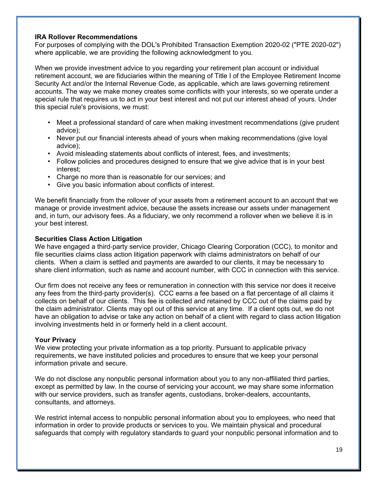### **IRA Rollover Recommendations**

For purposes of complying with the DOL's Prohibited Transaction Exemption 2020-02 ("PTE 2020-02") where applicable, we are providing the following acknowledgment to you.

When we provide investment advice to you regarding your retirement plan account or individual retirement account, we are fiduciaries within the meaning of Title I of the Employee Retirement Income Security Act and/or the Internal Revenue Code, as applicable, which are laws governing retirement accounts. The way we make money creates some conflicts with your interests, so we operate under a special rule that requires us to act in your best interest and not put our interest ahead of yours. Under this special rule's provisions, we must:

- Meet a professional standard of care when making investment recommendations (give prudent advice);
- Never put our financial interests ahead of yours when making recommendations (give loyal advice);
- Avoid misleading statements about conflicts of interest, fees, and investments;
- Follow policies and procedures designed to ensure that we give advice that is in your best interest;
- Charge no more than is reasonable for our services; and
- Give you basic information about conflicts of interest.

We benefit financially from the rollover of your assets from a retirement account to an account that we manage or provide investment advice, because the assets increase our assets under management and, in turn, our advisory fees. As a fiduciary, we only recommend a rollover when we believe it is in your best interest.

### **Securities Class Action Litigation**

We have engaged a third-party service provider, Chicago Clearing Corporation (CCC), to monitor and file securities claims class action litigation paperwork with claims administrators on behalf of our clients. When a claim is settled and payments are awarded to our clients, it may be necessary to share client information, such as name and account number, with CCC in connection with this service.

Our firm does not receive any fees or remuneration in connection with this service nor does it receive any fees from the third-party provider(s). CCC earns a fee based on a flat percentage of all claims it collects on behalf of our clients. This fee is collected and retained by CCC out of the claims paid by the claim administrator. Clients may opt out of this service at any time. If a client opts out, we do not have an obligation to advise or take any action on behalf of a client with regard to class action litigation involving investments held in or formerly held in a client account.

### **Your Privacy**

We view protecting your private information as a top priority. Pursuant to applicable privacy requirements, we have instituted policies and procedures to ensure that we keep your personal information private and secure.

We do not disclose any nonpublic personal information about you to any non-affiliated third parties, except as permitted by law. In the course of servicing your account, we may share some information with our service providers, such as transfer agents, custodians, broker-dealers, accountants, consultants, and attorneys.

We restrict internal access to nonpublic personal information about you to employees, who need that information in order to provide products or services to you. We maintain physical and procedural safeguards that comply with regulatory standards to guard your nonpublic personal information and to